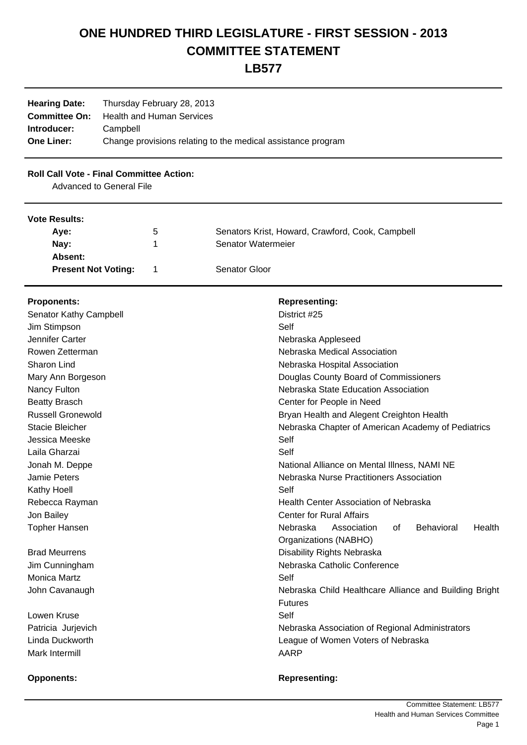# **ONE HUNDRED THIRD LEGISLATURE - FIRST SESSION - 2013 COMMITTEE STATEMENT**

# **LB577**

| <b>Hearing Date:</b> | Thursday February 28, 2013                                   |
|----------------------|--------------------------------------------------------------|
| <b>Committee On:</b> | <b>Health and Human Services</b>                             |
| Introducer:          | Campbell                                                     |
| <b>One Liner:</b>    | Change provisions relating to the medical assistance program |

# **Roll Call Vote - Final Committee Action:**

Advanced to General File

### **Vote Results:**

| Ave:                       | $5^{\circ}$ | Senators Krist, Howard, Crawford, Cook, Campbell |
|----------------------------|-------------|--------------------------------------------------|
| Nay:                       |             | Senator Watermeier                               |
| Absent:                    |             |                                                  |
| <b>Present Not Voting:</b> |             | Senator Gloor                                    |

| <b>Proponents:</b>       | <b>Representing:</b>                                         |
|--------------------------|--------------------------------------------------------------|
| Senator Kathy Campbell   | District #25                                                 |
| Jim Stimpson             | Self                                                         |
| Jennifer Carter          | Nebraska Appleseed                                           |
| Rowen Zetterman          | Nebraska Medical Association                                 |
| <b>Sharon Lind</b>       | Nebraska Hospital Association                                |
| Mary Ann Borgeson        | Douglas County Board of Commissioners                        |
| Nancy Fulton             | Nebraska State Education Association                         |
| <b>Beatty Brasch</b>     | Center for People in Need                                    |
| <b>Russell Gronewold</b> | Bryan Health and Alegent Creighton Health                    |
| <b>Stacie Bleicher</b>   | Nebraska Chapter of American Academy of Pediatrics           |
| Jessica Meeske           | Self                                                         |
| Laila Gharzai            | Self                                                         |
| Jonah M. Deppe           | National Alliance on Mental Illness, NAMI NE                 |
| Jamie Peters             | Nebraska Nurse Practitioners Association                     |
| Kathy Hoell              | Self                                                         |
| Rebecca Rayman           | Health Center Association of Nebraska                        |
| Jon Bailey               | <b>Center for Rural Affairs</b>                              |
| <b>Topher Hansen</b>     | Nebraska<br>Association<br>0f<br><b>Behavioral</b><br>Health |
|                          | Organizations (NABHO)                                        |
| <b>Brad Meurrens</b>     | Disability Rights Nebraska                                   |
| Jim Cunningham           | Nebraska Catholic Conference                                 |
| <b>Monica Martz</b>      | Self                                                         |
| John Cavanaugh           | Nebraska Child Healthcare Alliance and Building Bright       |
|                          | <b>Futures</b>                                               |
| Lowen Kruse              | Self                                                         |
| Patricia Jurjevich       | Nebraska Association of Regional Administrators              |
| Linda Duckworth          | League of Women Voters of Nebraska                           |
| Mark Intermill           | <b>AARP</b>                                                  |
|                          |                                                              |

## **Opponents: COPPONENTS: Representing: Representing:**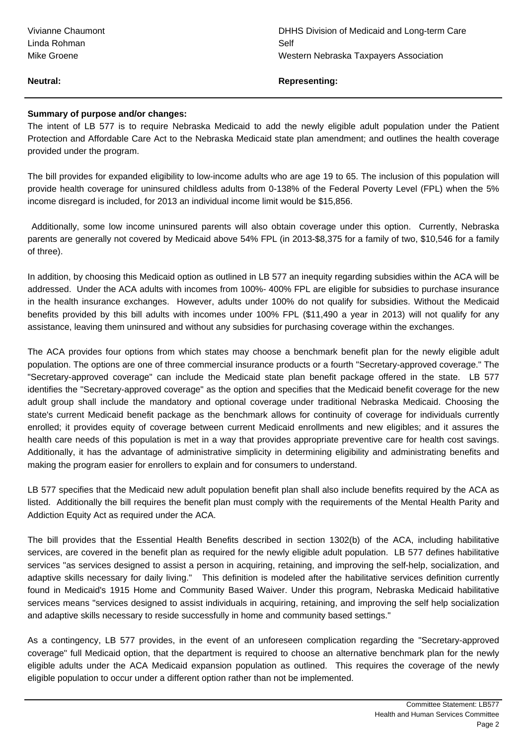| Vivianne Chaumont | DHI  |
|-------------------|------|
| Linda Rohman      | Self |
| Mike Groene       | We:  |

### **Neutral: Representing:**

### **Summary of purpose and/or changes:**

The intent of LB 577 is to require Nebraska Medicaid to add the newly eligible adult population under the Patient Protection and Affordable Care Act to the Nebraska Medicaid state plan amendment; and outlines the health coverage provided under the program.

The bill provides for expanded eligibility to low-income adults who are age 19 to 65. The inclusion of this population will provide health coverage for uninsured childless adults from 0-138% of the Federal Poverty Level (FPL) when the 5% income disregard is included, for 2013 an individual income limit would be \$15,856.

 Additionally, some low income uninsured parents will also obtain coverage under this option. Currently, Nebraska parents are generally not covered by Medicaid above 54% FPL (in 2013-\$8,375 for a family of two, \$10,546 for a family of three).

In addition, by choosing this Medicaid option as outlined in LB 577 an inequity regarding subsidies within the ACA will be addressed. Under the ACA adults with incomes from 100%- 400% FPL are eligible for subsidies to purchase insurance in the health insurance exchanges. However, adults under 100% do not qualify for subsidies. Without the Medicaid benefits provided by this bill adults with incomes under 100% FPL (\$11,490 a year in 2013) will not qualify for any assistance, leaving them uninsured and without any subsidies for purchasing coverage within the exchanges.

The ACA provides four options from which states may choose a benchmark benefit plan for the newly eligible adult population. The options are one of three commercial insurance products or a fourth "Secretary-approved coverage." The "Secretary-approved coverage" can include the Medicaid state plan benefit package offered in the state. LB 577 identifies the "Secretary-approved coverage" as the option and specifies that the Medicaid benefit coverage for the new adult group shall include the mandatory and optional coverage under traditional Nebraska Medicaid. Choosing the state's current Medicaid benefit package as the benchmark allows for continuity of coverage for individuals currently enrolled; it provides equity of coverage between current Medicaid enrollments and new eligibles; and it assures the health care needs of this population is met in a way that provides appropriate preventive care for health cost savings. Additionally, it has the advantage of administrative simplicity in determining eligibility and administrating benefits and making the program easier for enrollers to explain and for consumers to understand.

LB 577 specifies that the Medicaid new adult population benefit plan shall also include benefits required by the ACA as listed. Additionally the bill requires the benefit plan must comply with the requirements of the Mental Health Parity and Addiction Equity Act as required under the ACA.

The bill provides that the Essential Health Benefits described in section 1302(b) of the ACA, including habilitative services, are covered in the benefit plan as required for the newly eligible adult population. LB 577 defines habilitative services "as services designed to assist a person in acquiring, retaining, and improving the self-help, socialization, and adaptive skills necessary for daily living." This definition is modeled after the habilitative services definition currently found in Medicaid's 1915 Home and Community Based Waiver. Under this program, Nebraska Medicaid habilitative services means "services designed to assist individuals in acquiring, retaining, and improving the self help socialization and adaptive skills necessary to reside successfully in home and community based settings."

As a contingency, LB 577 provides, in the event of an unforeseen complication regarding the "Secretary-approved coverage" full Medicaid option, that the department is required to choose an alternative benchmark plan for the newly eligible adults under the ACA Medicaid expansion population as outlined. This requires the coverage of the newly eligible population to occur under a different option rather than not be implemented.